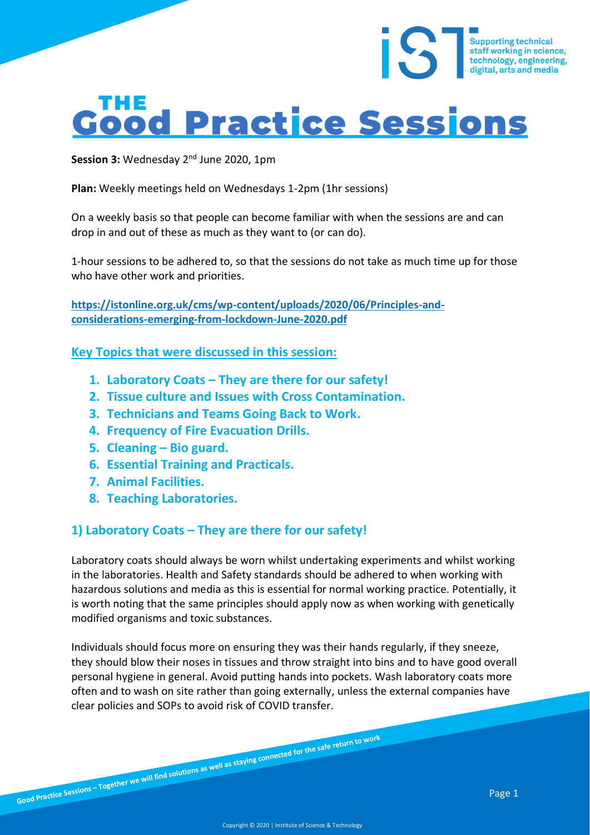# **Good Practice Sessions**

Session 3: Wednesday 2<sup>nd</sup> June 2020, 1pm

**Plan:** Weekly meetings held on Wednesdays 1-2pm (1hr sessions)

On a weekly basis so that people can become familiar with when the sessions are and can drop in and out of these as much as they want to (or can do).

1-hour sessions to be adhered to, so that the sessions do not take as much time up for those who have other work and priorities.

**[https://istonline.org.uk/cms/wp-content/uploads/2020/06/Principles-and](https://istonline.org.uk/cms/wp-content/uploads/2020/06/Principles-and-considerations-emerging-from-lockdown-June-2020.pdf)[considerations-emerging-from-lockdown-June-2020.pdf](https://istonline.org.uk/cms/wp-content/uploads/2020/06/Principles-and-considerations-emerging-from-lockdown-June-2020.pdf)**

**Key Topics that were discussed in this session:**

- **1. Laboratory Coats – They are there for our safety!**
- **2. Tissue culture and Issues with Cross Contamination.**
- **3. Technicians and Teams Going Back to Work.**
- **4. Frequency of Fire Evacuation Drills.**
- **5. Cleaning – Bio guard.**
- **6. Essential Training and Practicals.**
- **7. Animal Facilities.**
- **8. Teaching Laboratories.**

## **1) Laboratory Coats – They are there for our safety!**

Laboratory coats should always be worn whilst undertaking experiments and whilst working in the laboratories. Health and Safety standards should be adhered to when working with hazardous solutions and media as this is essential for normal working practice. Potentially, it is worth noting that the same principles should apply now as when working with genetically modified organisms and toxic substances.

Individuals should focus more on ensuring they was their hands regularly, if they sneeze, they should blow their noses in tissues and throw straight into bins and to have good overall personal hygiene in general. Avoid putting hands into pockets. Wash laboratory coats more often and to wash on site rather than going externally, unless the external companies have clear policies and SOPs to avoid risk of COVID transfer.

Supporting technical<br>staff working in science,<br>technology, engineering,

digital, arts and media

iS<sup></sup>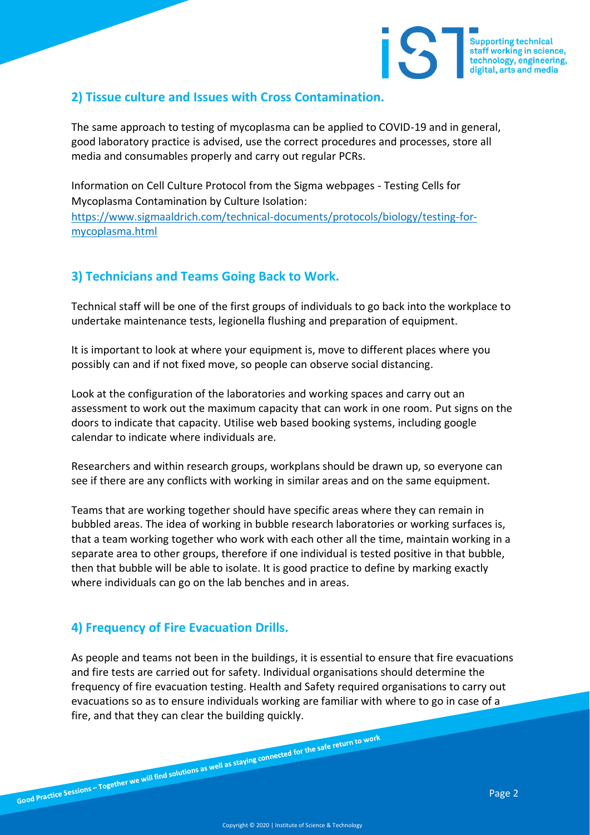

## **2) Tissue culture and Issues with Cross Contamination.**

The same approach to testing of mycoplasma can be applied to COVID-19 and in general, good laboratory practice is advised, use the correct procedures and processes, store all media and consumables properly and carry out regular PCRs.

Information on Cell Culture Protocol from the Sigma webpages - Testing Cells for Mycoplasma Contamination by Culture Isolation: [https://www.sigmaaldrich.com/technical-documents/protocols/biology/testing-for](https://www.sigmaaldrich.com/technical-documents/protocols/biology/testing-for-mycoplasma.html)[mycoplasma.html](https://www.sigmaaldrich.com/technical-documents/protocols/biology/testing-for-mycoplasma.html)

### **3) Technicians and Teams Going Back to Work.**

Technical staff will be one of the first groups of individuals to go back into the workplace to undertake maintenance tests, legionella flushing and preparation of equipment.

It is important to look at where your equipment is, move to different places where you possibly can and if not fixed move, so people can observe social distancing.

Look at the configuration of the laboratories and working spaces and carry out an assessment to work out the maximum capacity that can work in one room. Put signs on the doors to indicate that capacity. Utilise web based booking systems, including google calendar to indicate where individuals are.

Researchers and within research groups, workplans should be drawn up, so everyone can see if there are any conflicts with working in similar areas and on the same equipment.

Teams that are working together should have specific areas where they can remain in bubbled areas. The idea of working in bubble research laboratories or working surfaces is, that a team working together who work with each other all the time, maintain working in a separate area to other groups, therefore if one individual is tested positive in that bubble, then that bubble will be able to isolate. It is good practice to define by marking exactly where individuals can go on the lab benches and in areas.

## **4) Frequency of Fire Evacuation Drills.**

As people and teams not been in the buildings, it is essential to ensure that fire evacuations and fire tests are carried out for safety. Individual organisations should determine the frequency of fire evacuation testing. Health and Safety required organisations to carry out evacuations so as to ensure individuals working are familiar with where to go in case of a fire, and that they can clear the building quickly.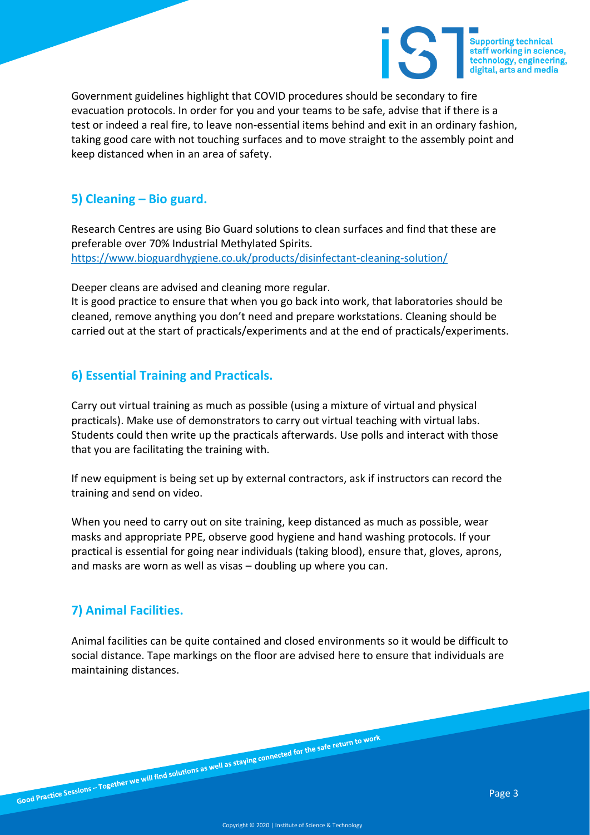

Government guidelines highlight that COVID procedures should be secondary to fire evacuation protocols. In order for you and your teams to be safe, advise that if there is a test or indeed a real fire, to leave non-essential items behind and exit in an ordinary fashion, taking good care with not touching surfaces and to move straight to the assembly point and keep distanced when in an area of safety.

### **5) Cleaning – Bio guard.**

Research Centres are using Bio Guard solutions to clean surfaces and find that these are preferable over 70% Industrial Methylated Spirits. <https://www.bioguardhygiene.co.uk/products/disinfectant-cleaning-solution/>

Deeper cleans are advised and cleaning more regular.

It is good practice to ensure that when you go back into work, that laboratories should be cleaned, remove anything you don't need and prepare workstations. Cleaning should be carried out at the start of practicals/experiments and at the end of practicals/experiments.

### **6) Essential Training and Practicals.**

Carry out virtual training as much as possible (using a mixture of virtual and physical practicals). Make use of demonstrators to carry out virtual teaching with virtual labs. Students could then write up the practicals afterwards. Use polls and interact with those that you are facilitating the training with.

If new equipment is being set up by external contractors, ask if instructors can record the training and send on video.

When you need to carry out on site training, keep distanced as much as possible, wear masks and appropriate PPE, observe good hygiene and hand washing protocols. If your practical is essential for going near individuals (taking blood), ensure that, gloves, aprons, and masks are worn as well as visas – doubling up where you can.

## **7) Animal Facilities.**

Animal facilities can be quite contained and closed environments so it would be difficult to social distance. Tape markings on the floor are advised here to ensure that individuals are maintaining distances.

Good Practice Sessions – Together we will find solutions as well as staying connected for the safe return to work